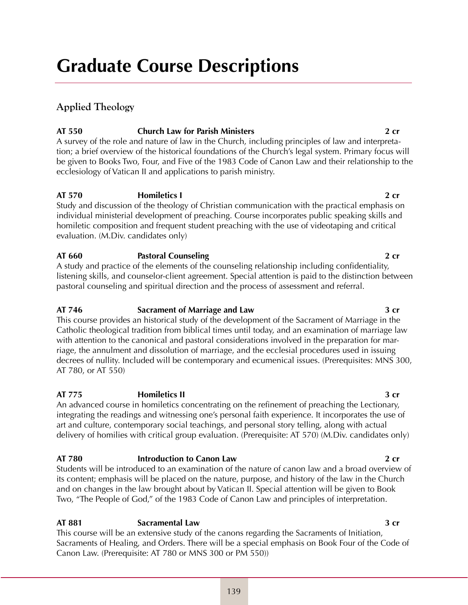# **Graduate Course Descriptions**

# **Applied Theology**

# **AT 550 Church Law for Parish Ministers 2 cr**

A survey of the role and nature of law in the Church, including principles of law and interpretation; a brief overview of the historical foundations of the Church's legal system. Primary focus will be given to Books Two, Four, and Five of the 1983 Code of Canon Law and their relationship to the ecclesiology of Vatican II and applications to parish ministry.

# **AT 570 Homiletics I 2 cr**

Study and discussion of the theology of Christian communication with the practical emphasis on individual ministerial development of preaching. Course incorporates public speaking skills and homiletic composition and frequent student preaching with the use of videotaping and critical evaluation. (M.Div. candidates only)

# **AT 660 Pastoral Counseling 2 cr**

A study and practice of the elements of the counseling relationship including confidentiality, listening skills, and counselor-client agreement. Special attention is paid to the distinction between pastoral counseling and spiritual direction and the process of assessment and referral.

# **AT 746 Sacrament of Marriage and Law 3 cr**

This course provides an historical study of the development of the Sacrament of Marriage in the Catholic theological tradition from biblical times until today, and an examination of marriage law with attention to the canonical and pastoral considerations involved in the preparation for marriage, the annulment and dissolution of marriage, and the ecclesial procedures used in issuing decrees of nullity. Included will be contemporary and ecumenical issues. (Prerequisites: MNS 300, AT 780, or AT 550)

# **AT 775 Homiletics II 3 cr**

An advanced course in homiletics concentrating on the refinement of preaching the Lectionary, integrating the readings and witnessing one's personal faith experience. It incorporates the use of art and culture, contemporary social teachings, and personal story telling, along with actual delivery of homilies with critical group evaluation. (Prerequisite: AT 570) (M.Div. candidates only)

# **AT 780 Introduction to Canon Law 2 cr**

Students will be introduced to an examination of the nature of canon law and a broad overview of its content; emphasis will be placed on the nature, purpose, and history of the law in the Church and on changes in the law brought about by Vatican II. Special attention will be given to Book Two, "The People of God," of the 1983 Code of Canon Law and principles of interpretation.

# **AT 881 Sacramental Law 3 cr**

This course will be an extensive study of the canons regarding the Sacraments of Initiation, Sacraments of Healing, and Orders. There will be a special emphasis on Book Four of the Code of Canon Law. (Prerequisite: AT 780 or MNS 300 or PM 550))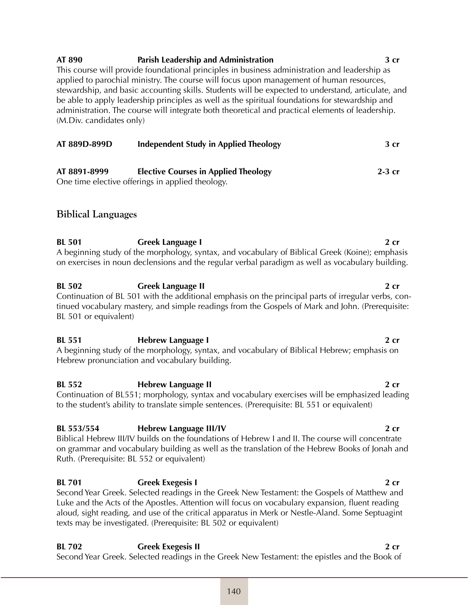# **AT 890 Parish Leadership and Administration 3 cr**

This course will provide foundational principles in business administration and leadership as applied to parochial ministry. The course will focus upon management of human resources, stewardship, and basic accounting skills. Students will be expected to understand, articulate, and be able to apply leadership principles as well as the spiritual foundations for stewardship and administration. The course will integrate both theoretical and practical elements of leadership. (M.Div. candidates only)

| AT 889D-899D | <b>Independent Study in Applied Theology</b>                                                       | 3 <sub>cr</sub> |
|--------------|----------------------------------------------------------------------------------------------------|-----------------|
| AT 8891-8999 | <b>Elective Courses in Applied Theology</b><br>On a time also time offenings in smalled the also m | $2-3$ cr        |

One time elective offerings in applied theology.

# **Biblical Languages**

**BL 501 Greek Language I 2 cr** A beginning study of the morphology, syntax, and vocabulary of Biblical Greek (Koine); emphasis on exercises in noun declensions and the regular verbal paradigm as well as vocabulary building.

**BL 502 Greek Language II 2 cr** Continuation of BL 501 with the additional emphasis on the principal parts of irregular verbs, continued vocabulary mastery, and simple readings from the Gospels of Mark and John. (Prerequisite: BL 501 or equivalent)

**BL 551 Hebrew Language I 2 cr** A beginning study of the morphology, syntax, and vocabulary of Biblical Hebrew; emphasis on Hebrew pronunciation and vocabulary building.

**BL 552 Hebrew Language II 2 cr**  Continuation of BL551; morphology, syntax and vocabulary exercises will be emphasized leading to the student's ability to translate simple sentences. (Prerequisite: BL 551 or equivalent)

# **BL 553/554 Hebrew Language III/IV 2 cr**

Biblical Hebrew III/IV builds on the foundations of Hebrew I and II. The course will concentrate on grammar and vocabulary building as well as the translation of the Hebrew Books of Jonah and Ruth. (Prerequisite: BL 552 or equivalent)

**BL 701 Greek Exegesis I 2 cr** Second Year Greek. Selected readings in the Greek New Testament: the Gospels of Matthew and Luke and the Acts of the Apostles. Attention will focus on vocabulary expansion, fluent reading aloud, sight reading, and use of the critical apparatus in Merk or Nestle-Aland. Some Septuagint texts may be investigated. (Prerequisite: BL 502 or equivalent)

**BL 702 Greek Exegesis II 2 cr** Second Year Greek. Selected readings in the Greek New Testament: the epistles and the Book of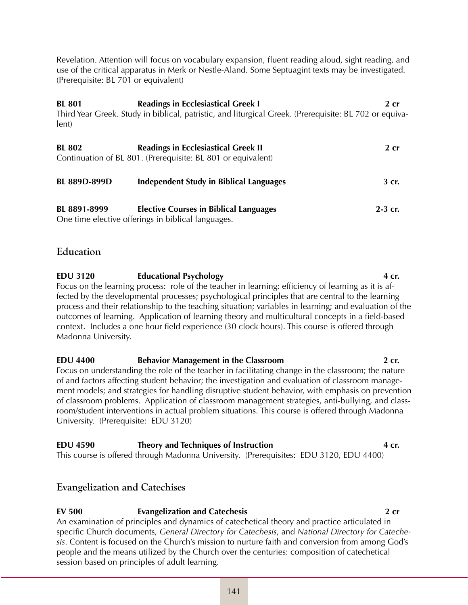Revelation. Attention will focus on vocabulary expansion, fluent reading aloud, sight reading, and use of the critical apparatus in Merk or Nestle-Aland. Some Septuagint texts may be investigated. (Prerequisite: BL 701 or equivalent)

**BL 801 Readings in Ecclesiastical Greek I 2 cr** Third Year Greek. Study in biblical, patristic, and liturgical Greek. (Prerequisite: BL 702 or equivalent)

| <b>BL 802</b>       | <b>Readings in Ecclesiastical Greek II</b>                   | $2$ cr    |
|---------------------|--------------------------------------------------------------|-----------|
|                     | Continuation of BL 801. (Prerequisite: BL 801 or equivalent) |           |
|                     |                                                              |           |
| <b>BL 889D-899D</b> | Independent Study in Biblical Languages                      | 3 cr.     |
|                     |                                                              |           |
| BL 8891-8999        | <b>Elective Courses in Biblical Languages</b>                | $2-3$ cr. |
|                     | One time elective offerings in biblical languages.           |           |

# **Education**

**EDU 3120 Educational Psychology 4 cr.** Focus on the learning process: role of the teacher in learning; efficiency of learning as it is affected by the developmental processes; psychological principles that are central to the learning process and their relationship to the teaching situation; variables in learning; and evaluation of the outcomes of learning. Application of learning theory and multicultural concepts in a field-based context. Includes a one hour field experience (30 clock hours). This course is offered through Madonna University.

**EDU 4400 Behavior Management in the Classroom 2 cr.** Focus on understanding the role of the teacher in facilitating change in the classroom; the nature of and factors affecting student behavior; the investigation and evaluation of classroom management models; and strategies for handling disruptive student behavior, with emphasis on prevention of classroom problems. Application of classroom management strategies, anti-bullying, and classroom/student interventions in actual problem situations. This course is offered through Madonna University. (Prerequisite: EDU 3120)

**EDU 4590 Theory and Techniques of Instruction 4 cr.** This course is offered through Madonna University. (Prerequisites: EDU 3120, EDU 4400)

# **Evangelization and Catechises**

# **EV 500 Evangelization and Catechesis 2 cr**

An examination of principles and dynamics of catechetical theory and practice articulated in specific Church documents, *General Directory for Catechesis*, and *National Directory for Catechesis*. Content is focused on the Church's mission to nurture faith and conversion from among God's people and the means utilized by the Church over the centuries: composition of catechetical session based on principles of adult learning.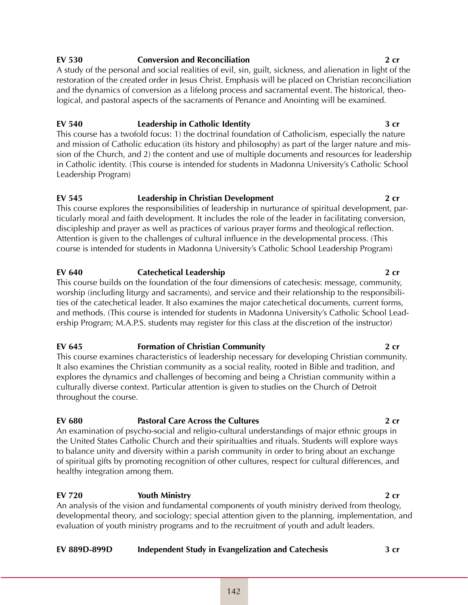# 142

# **EV 530 Conversion and Reconciliation 2 cr**

A study of the personal and social realities of evil, sin, guilt, sickness, and alienation in light of the restoration of the created order in Jesus Christ. Emphasis will be placed on Christian reconciliation and the dynamics of conversion as a lifelong process and sacramental event. The historical, theological, and pastoral aspects of the sacraments of Penance and Anointing will be examined.

# **EV 540 Leadership in Catholic Identity 3 cr**

This course has a twofold focus: 1) the doctrinal foundation of Catholicism, especially the nature and mission of Catholic education (its history and philosophy) as part of the larger nature and mission of the Church, and 2) the content and use of multiple documents and resources for leadership in Catholic identity. (This course is intended for students in Madonna University's Catholic School Leadership Program)

# **EV 545 Leadership in Christian Development 2 cr**

This course explores the responsibilities of leadership in nurturance of spiritual development, particularly moral and faith development. It includes the role of the leader in facilitating conversion, discipleship and prayer as well as practices of various prayer forms and theological reflection. Attention is given to the challenges of cultural influence in the developmental process. (This course is intended for students in Madonna University's Catholic School Leadership Program)

# **EV 640 Catechetical Leadership 2 cr**

This course builds on the foundation of the four dimensions of catechesis: message, community, worship (including liturgy and sacraments), and service and their relationship to the responsibilities of the catechetical leader. It also examines the major catechetical documents, current forms, and methods. (This course is intended for students in Madonna University's Catholic School Leadership Program; M.A.P.S. students may register for this class at the discretion of the instructor)

# **EV 645 Formation of Christian Community 2 cr**

This course examines characteristics of leadership necessary for developing Christian community. It also examines the Christian community as a social reality, rooted in Bible and tradition, and explores the dynamics and challenges of becoming and being a Christian community within a culturally diverse context. Particular attention is given to studies on the Church of Detroit throughout the course.

# **EV 680 Pastoral Care Across the Cultures 2 cr**

An examination of psycho-social and religio-cultural understandings of major ethnic groups in the United States Catholic Church and their spiritualties and rituals. Students will explore ways to balance unity and diversity within a parish community in order to bring about an exchange of spiritual gifts by promoting recognition of other cultures, respect for cultural differences, and healthy integration among them.

# **EV 720 Youth Ministry 2 cr**

An analysis of the vision and fundamental components of youth ministry derived from theology, developmental theory, and sociology; special attention given to the planning, implementation, and evaluation of youth ministry programs and to the recruitment of youth and adult leaders.

# **EV 889D-899D Independent Study in Evangelization and Catechesis 3 cr**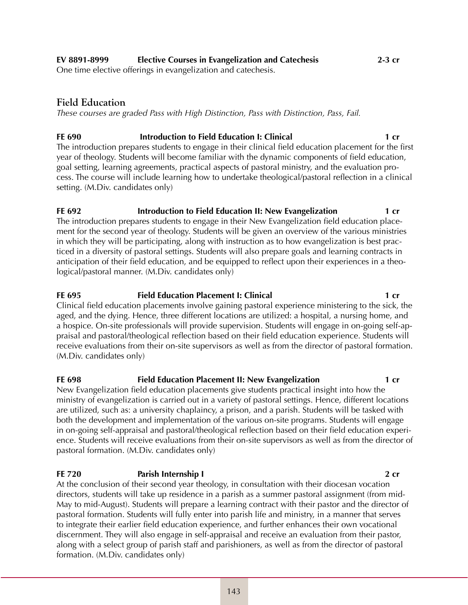One time elective offerings in evangelization and catechesis.

# **Field Education**

*These courses are graded Pass with High Distinction, Pass with Distinction, Pass, Fail.*

# **FE 690** Introduction to Field Education I: Clinical 1 cr

The introduction prepares students to engage in their clinical field education placement for the first year of theology. Students will become familiar with the dynamic components of field education, goal setting, learning agreements, practical aspects of pastoral ministry, and the evaluation process. The course will include learning how to undertake theological/pastoral reflection in a clinical setting. (M.Div. candidates only)

### **FE 692 Introduction to Field Education II: New Evangelization** 1 cr The introduction prepares students to engage in their New Evangelization field education placement for the second year of theology. Students will be given an overview of the various ministries in which they will be participating, along with instruction as to how evangelization is best practiced in a diversity of pastoral settings. Students will also prepare goals and learning contracts in anticipation of their field education, and be equipped to reflect upon their experiences in a theological/pastoral manner. (M.Div. candidates only)

# **FE 695** Field Education Placement I: Clinical 1 cr

Clinical field education placements involve gaining pastoral experience ministering to the sick, the aged, and the dying. Hence, three different locations are utilized: a hospital, a nursing home, and a hospice. On-site professionals will provide supervision. Students will engage in on-going self-appraisal and pastoral/theological reflection based on their field education experience. Students will receive evaluations from their on-site supervisors as well as from the director of pastoral formation. (M.Div. candidates only)

### **FE 698 Field Education Placement II: New Evangelization 1 cr** New Evangelization field education placements give students practical insight into how the ministry of evangelization is carried out in a variety of pastoral settings. Hence, different locations are utilized, such as: a university chaplaincy, a prison, and a parish. Students will be tasked with both the development and implementation of the various on-site programs. Students will engage in on-going self-appraisal and pastoral/theological reflection based on their field education experience. Students will receive evaluations from their on-site supervisors as well as from the director of pastoral formation. (M.Div. candidates only)

# **FE 720 Parish Internship I 2 cr**

At the conclusion of their second year theology, in consultation with their diocesan vocation directors, students will take up residence in a parish as a summer pastoral assignment (from mid-May to mid-August). Students will prepare a learning contract with their pastor and the director of pastoral formation. Students will fully enter into parish life and ministry, in a manner that serves to integrate their earlier field education experience, and further enhances their own vocational discernment. They will also engage in self-appraisal and receive an evaluation from their pastor, along with a select group of parish staff and parishioners, as well as from the director of pastoral formation. (M.Div. candidates only)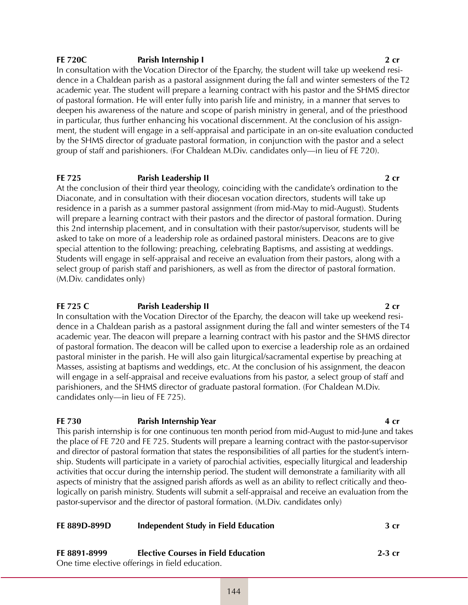### **FE 720C Parish Internship I Parish Internship I Parish Internship I 2 cr**

In consultation with the Vocation Director of the Eparchy, the student will take up weekend residence in a Chaldean parish as a pastoral assignment during the fall and winter semesters of the T2 academic year. The student will prepare a learning contract with his pastor and the SHMS director of pastoral formation. He will enter fully into parish life and ministry, in a manner that serves to deepen his awareness of the nature and scope of parish ministry in general, and of the priesthood in particular, thus further enhancing his vocational discernment. At the conclusion of his assignment, the student will engage in a self-appraisal and participate in an on-site evaluation conducted by the SHMS director of graduate pastoral formation, in conjunction with the pastor and a select group of staff and parishioners. (For Chaldean M.Div. candidates only—in lieu of FE 720).

### **FE 725 Parish Leadership II Parish Leadership II Parish 2 cr**

At the conclusion of their third year theology, coinciding with the candidate's ordination to the Diaconate, and in consultation with their diocesan vocation directors, students will take up residence in a parish as a summer pastoral assignment (from mid-May to mid-August). Students will prepare a learning contract with their pastors and the director of pastoral formation. During this 2nd internship placement, and in consultation with their pastor/supervisor, students will be asked to take on more of a leadership role as ordained pastoral ministers. Deacons are to give special attention to the following: preaching, celebrating Baptisms, and assisting at weddings. Students will engage in self-appraisal and receive an evaluation from their pastors, along with a select group of parish staff and parishioners, as well as from the director of pastoral formation. (M.Div. candidates only)

### **FE 725 C Parish Leadership II 2 cr**

In consultation with the Vocation Director of the Eparchy, the deacon will take up weekend residence in a Chaldean parish as a pastoral assignment during the fall and winter semesters of the T4 academic year. The deacon will prepare a learning contract with his pastor and the SHMS director of pastoral formation. The deacon will be called upon to exercise a leadership role as an ordained pastoral minister in the parish. He will also gain liturgical/sacramental expertise by preaching at Masses, assisting at baptisms and weddings, etc. At the conclusion of his assignment, the deacon will engage in a self-appraisal and receive evaluations from his pastor, a select group of staff and parishioners, and the SHMS director of graduate pastoral formation. (For Chaldean M.Div. candidates only—in lieu of FE 725).

### **FE 730 Parish Internship Year 4 cr**

This parish internship is for one continuous ten month period from mid-August to mid-June and takes the place of FE 720 and FE 725. Students will prepare a learning contract with the pastor-supervisor and director of pastoral formation that states the responsibilities of all parties for the student's internship. Students will participate in a variety of parochial activities, especially liturgical and leadership activities that occur during the internship period. The student will demonstrate a familiarity with all aspects of ministry that the assigned parish affords as well as an ability to reflect critically and theologically on parish ministry. Students will submit a self-appraisal and receive an evaluation from the pastor-supervisor and the director of pastoral formation. (M.Div. candidates only)

| FE 889D-899D | Independent Study in Field Education            | 3 cr     |
|--------------|-------------------------------------------------|----------|
| FE 8891-8999 | <b>Elective Courses in Field Education</b>      | $2-3$ cr |
|              | One time elective offerings in field education. |          |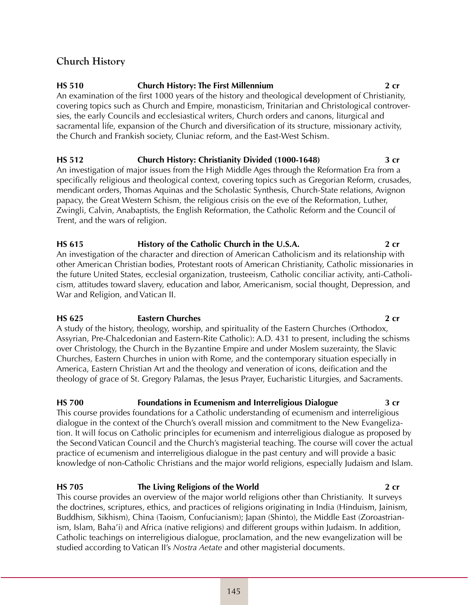# **Church History**

# **HS 510 Church History: The First Millennium 2 cr**

An examination of the first 1000 years of the history and theological development of Christianity, covering topics such as Church and Empire, monasticism, Trinitarian and Christological controversies, the early Councils and ecclesiastical writers, Church orders and canons, liturgical and sacramental life, expansion of the Church and diversification of its structure, missionary activity, the Church and Frankish society, Cluniac reform, and the East-West Schism.

# **HS 512 Church History: Christianity Divided (1000-1648) 3 cr**

An investigation of major issues from the High Middle Ages through the Reformation Era from a specifically religious and theological context, covering topics such as Gregorian Reform, crusades, mendicant orders, Thomas Aquinas and the Scholastic Synthesis, Church-State relations, Avignon papacy, the Great Western Schism, the religious crisis on the eve of the Reformation, Luther, Zwingli, Calvin, Anabaptists, the English Reformation, the Catholic Reform and the Council of Trent, and the wars of religion.

# **HS 615 History of the Catholic Church in the U.S.A. 2 cr**

An investigation of the character and direction of American Catholicism and its relationship with other American Christian bodies, Protestant roots of American Christianity, Catholic missionaries in the future United States, ecclesial organization, trusteeism, Catholic conciliar activity, anti-Catholicism, attitudes toward slavery, education and labor, Americanism, social thought, Depression, and War and Religion, and Vatican II.

# **HS 625 Eastern Churches 2 cr**

A study of the history, theology, worship, and spirituality of the Eastern Churches (Orthodox, Assyrian, Pre-Chalcedonian and Eastern-Rite Catholic): A.D. 431 to present, including the schisms over Christology, the Church in the Byzantine Empire and under Moslem suzerainty, the Slavic Churches, Eastern Churches in union with Rome, and the contemporary situation especially in America, Eastern Christian Art and the theology and veneration of icons, deification and the theology of grace of St. Gregory Palamas, the Jesus Prayer, Eucharistic Liturgies, and Sacraments.

# **HS 700 Foundations in Ecumenism and Interreligious Dialogue 3 cr**

This course provides foundations for a Catholic understanding of ecumenism and interreligious dialogue in the context of the Church's overall mission and commitment to the New Evangelization. It will focus on Catholic principles for ecumenism and interreligious dialogue as proposed by the Second Vatican Council and the Church's magisterial teaching. The course will cover the actual practice of ecumenism and interreligious dialogue in the past century and will provide a basic knowledge of non-Catholic Christians and the major world religions, especially Judaism and Islam.

# **HS 705 The Living Religions of the World 2 cr**

This course provides an overview of the major world religions other than Christianity. It surveys the doctrines, scriptures, ethics, and practices of religions originating in India (Hinduism, Jainism, Buddhism, Sikhism), China (Taoism, Confucianism); Japan (Shinto), the Middle East (Zoroastrianism, Islam, Baha'i) and Africa (native religions) and different groups within Judaism. In addition, Catholic teachings on interreligious dialogue, proclamation, and the new evangelization will be studied according to Vatican II's *Nostra Aetate* and other magisterial documents.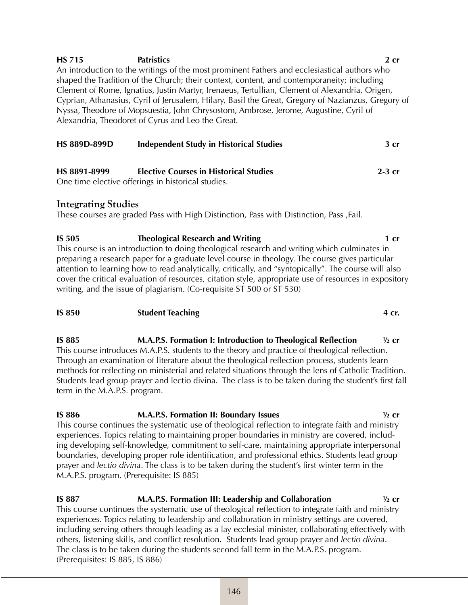| <b>HS 715</b> | <b>Patristics</b>                                 |                                                                                                | 2cr                                                                                                |
|---------------|---------------------------------------------------|------------------------------------------------------------------------------------------------|----------------------------------------------------------------------------------------------------|
|               |                                                   | An introduction to the writings of the most prominent Fathers and ecclesiastical authors who   |                                                                                                    |
|               |                                                   | shaped the Tradition of the Church; their context, content, and contemporaneity; including     |                                                                                                    |
|               |                                                   | Clement of Rome, Ignatius, Justin Martyr, Irenaeus, Tertullian, Clement of Alexandria, Origen, |                                                                                                    |
|               |                                                   |                                                                                                | Cyprian, Athanasius, Cyril of Jerusalem, Hilary, Basil the Great, Gregory of Nazianzus, Gregory of |
|               |                                                   | Nyssa, Theodore of Mopsuestia, John Chrysostom, Ambrose, Jerome, Augustine, Cyril of           |                                                                                                    |
|               | Alexandria, Theodoret of Cyrus and Leo the Great. |                                                                                                |                                                                                                    |
|               |                                                   |                                                                                                |                                                                                                    |
| HS 889D-899D  |                                                   | <b>Independent Study in Historical Studies</b>                                                 | 3 <sub>cr</sub>                                                                                    |

| HS 8891-8999 | <b>Elective Courses in Historical Studies</b>      | $2-3$ cr |
|--------------|----------------------------------------------------|----------|
|              | One time elective offerings in historical studies. |          |

# **Integrating Studies**

These courses are graded Pass with High Distinction, Pass with Distinction, Pass ,Fail.

**IS 505 Theological Research and Writing 1 cr** This course is an introduction to doing theological research and writing which culminates in preparing a research paper for a graduate level course in theology. The course gives particular attention to learning how to read analytically, critically, and "syntopically". The course will also cover the critical evaluation of resources, citation style, appropriate use of resources in expository writing, and the issue of plagiarism. (Co-requisite ST 500 or ST 530)

### **IS 850 Student Teaching 4 cr.**

**IS 885 M.A.P.S. Formation I: Introduction to Theological Reflection ½ cr**  This course introduces M.A.P.S. students to the theory and practice of theological reflection. Through an examination of literature about the theological reflection process, students learn methods for reflecting on ministerial and related situations through the lens of Catholic Tradition. Students lead group prayer and lectio divina. The class is to be taken during the student's first fall term in the M.A.P.S. program.

### **IS 886 M.A.P.S. Formation II: Boundary Issues ½ cr**  This course continues the systematic use of theological reflection to integrate faith and ministry experiences. Topics relating to maintaining proper boundaries in ministry are covered, including developing self-knowledge, commitment to self-care, maintaining appropriate interpersonal boundaries, developing proper role identification, and professional ethics. Students lead group prayer and *lectio divina*. The class is to be taken during the student's first winter term in the M.A.P.S. program. (Prerequisite: IS 885)

### **IS 887 M.A.P.S. Formation III: Leadership and Collaboration ½ cr** This course continues the systematic use of theological reflection to integrate faith and ministry experiences. Topics relating to leadership and collaboration in ministry settings are covered, including serving others through leading as a lay ecclesial minister, collaborating effectively with others, listening skills, and conflict resolution. Students lead group prayer and *lectio divina*. The class is to be taken during the students second fall term in the M.A.P.S. program. (Prerequisites: IS 885, IS 886)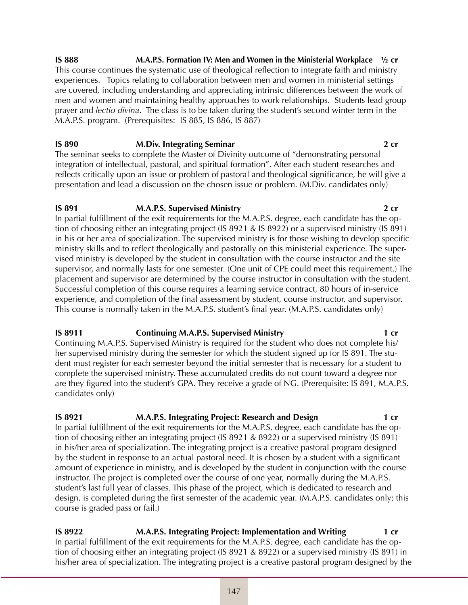**IS 888 M.A.P.S. Formation IV: Men and Women in the Ministerial Workplace ½ cr** This course continues the systematic use of theological reflection to integrate faith and ministry experiences. Topics relating to collaboration between men and women in ministerial settings are covered, including understanding and appreciating intrinsic differences between the work of men and women and maintaining healthy approaches to work relationships. Students lead group prayer and *lectio divina*. The class is to be taken during the student's second winter term in the M.A.P.S. program. (Prerequisites: IS 885, IS 886, IS 887)

### **IS 890 M.Div. Integrating Seminar 2 cr** The seminar seeks to complete the Master of Divinity outcome of "demonstrating personal integration of intellectual, pastoral, and spiritual formation". After each student researches and reflects critically upon an issue or problem of pastoral and theological significance, he will give a

presentation and lead a discussion on the chosen issue or problem. (M.Div. candidates only)

### **IS 891 M.A.P.S. Supervised Ministry 2 cr**

In partial fulfillment of the exit requirements for the M.A.P.S. degree, each candidate has the option of choosing either an integrating project (IS 8921 & IS 8922) or a supervised ministry (IS 891) in his or her area of specialization. The supervised ministry is for those wishing to develop specific ministry skills and to reflect theologically and pastorally on this ministerial experience. The supervised ministry is developed by the student in consultation with the course instructor and the site supervisor, and normally lasts for one semester. (One unit of CPE could meet this requirement.) The placement and supervisor are determined by the course instructor in consultation with the student. Successful completion of this course requires a learning service contract, 80 hours of in-service experience, and completion of the final assessment by student, course instructor, and supervisor. This course is normally taken in the M.A.P.S. student's final year. (M.A.P.S. candidates only)

# **IS 8911 Continuing M.A.P.S. Supervised Ministry 1 cr**

Continuing M.A.P.S. Supervised Ministry is required for the student who does not complete his/ her supervised ministry during the semester for which the student signed up for IS 891. The student must register for each semester beyond the initial semester that is necessary for a student to complete the supervised ministry. These accumulated credits do not count toward a degree nor are they figured into the student's GPA. They receive a grade of NG. (Prerequisite: IS 891, M.A.P.S. candidates only)

# **IS 8921** M.A.P.S. Integrating Project: Research and Design **1** cr

In partial fulfillment of the exit requirements for the M.A.P.S. degree, each candidate has the option of choosing either an integrating project (IS 8921 & 8922) or a supervised ministry (IS 891) in his/her area of specialization. The integrating project is a creative pastoral program designed by the student in response to an actual pastoral need. It is chosen by a student with a significant amount of experience in ministry, and is developed by the student in conjunction with the course instructor. The project is completed over the course of one year, normally during the M.A.P.S. student's last full year of classes. This phase of the project, which is dedicated to research and design, is completed during the first semester of the academic year. (M.A.P.S. candidates only; this course is graded pass or fail.)

**IS 8922 M.A.P.S. Integrating Project: Implementation and Writing 1 cr** In partial fulfillment of the exit requirements for the M.A.P.S. degree, each candidate has the option of choosing either an integrating project (IS 8921 & 8922) or a supervised ministry (IS 891) in his/her area of specialization. The integrating project is a creative pastoral program designed by the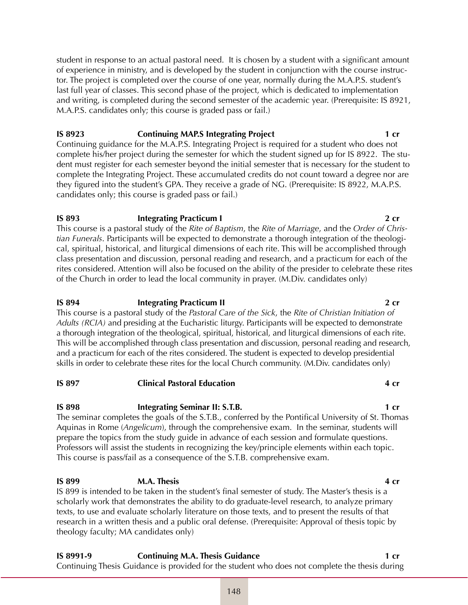student in response to an actual pastoral need. It is chosen by a student with a significant amount of experience in ministry, and is developed by the student in conjunction with the course instructor. The project is completed over the course of one year, normally during the M.A.P.S. student's last full year of classes. This second phase of the project, which is dedicated to implementation and writing, is completed during the second semester of the academic year. (Prerequisite: IS 8921, M.A.P.S. candidates only; this course is graded pass or fail.)

# **IS 8923** Continuing MAP.S Integrating Project 1 cr

Continuing guidance for the M.A.P.S. Integrating Project is required for a student who does not complete his/her project during the semester for which the student signed up for IS 8922. The student must register for each semester beyond the initial semester that is necessary for the student to complete the Integrating Project. These accumulated credits do not count toward a degree nor are they figured into the student's GPA. They receive a grade of NG. (Prerequisite: IS 8922, M.A.P.S. candidates only; this course is graded pass or fail.)

# **IS 893 Integrating Practicum I 2 cr**

This course is a pastoral study of the *Rite of Baptism*, the *Rite of Marriage*, and the *Order of Christian Funerals*. Participants will be expected to demonstrate a thorough integration of the theological, spiritual, historical, and liturgical dimensions of each rite. This will be accomplished through class presentation and discussion, personal reading and research, and a practicum for each of the rites considered. Attention will also be focused on the ability of the presider to celebrate these rites of the Church in order to lead the local community in prayer. (M.Div. candidates only)

# **IS 894 Integrating Practicum II 2 cr**

This course is a pastoral study of the *Pastoral Care of the Sick*, the *Rite of Christian Initiation of Adults (RCIA)* and presiding at the Eucharistic liturgy. Participants will be expected to demonstrate a thorough integration of the theological, spiritual, historical, and liturgical dimensions of each rite. This will be accomplished through class presentation and discussion, personal reading and research, and a practicum for each of the rites considered. The student is expected to develop presidential skills in order to celebrate these rites for the local Church community. (M.Div. candidates only)

# **IS 897 Clinical Pastoral Education 4 cr**

# **IS 898 Integrating Seminar II: S.T.B. 1 cr**

The seminar completes the goals of the S.T.B., conferred by the Pontifical University of St. Thomas Aquinas in Rome (*Angelicum*), through the comprehensive exam. In the seminar, students will prepare the topics from the study guide in advance of each session and formulate questions. Professors will assist the students in recognizing the key/principle elements within each topic. This course is pass/fail as a consequence of the S.T.B. comprehensive exam.

# **IS 899 M.A. Thesis 4 cr**

IS 899 is intended to be taken in the student's final semester of study. The Master's thesis is a scholarly work that demonstrates the ability to do graduate-level research, to analyze primary texts, to use and evaluate scholarly literature on those texts, and to present the results of that research in a written thesis and a public oral defense. (Prerequisite: Approval of thesis topic by theology faculty; MA candidates only)

**IS 8991-9 <b>Continuing M.A. Thesis Guidance** 1 cr Continuing Thesis Guidance is provided for the student who does not complete the thesis during

# 148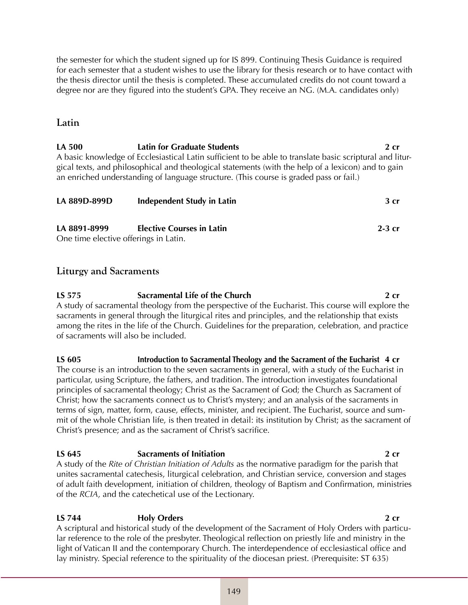the semester for which the student signed up for IS 899. Continuing Thesis Guidance is required for each semester that a student wishes to use the library for thesis research or to have contact with the thesis director until the thesis is completed. These accumulated credits do not count toward a degree nor are they figured into the student's GPA. They receive an NG. (M.A. candidates only)

# **Latin**

**LA 500 Latin for Graduate Students 2 cr** A basic knowledge of Ecclesiastical Latin sufficient to be able to translate basic scriptural and liturgical texts, and philosophical and theological statements (with the help of a lexicon) and to gain an enriched understanding of language structure. (This course is graded pass or fail.)

| LA 889D-899D | <b>Independent Study in Latin</b>     | 3 <sub>cr</sub> |
|--------------|---------------------------------------|-----------------|
| LA 8891-8999 | <b>Elective Courses in Latin</b>      | $2-3$ cr        |
|              | One time elective offerings in Latin. |                 |

# **Liturgy and Sacraments**

**LS 575 Sacramental Life of the Church 2 cr** A study of sacramental theology from the perspective of the Eucharist. This course will explore the sacraments in general through the liturgical rites and principles, and the relationship that exists among the rites in the life of the Church. Guidelines for the preparation, celebration, and practice of sacraments will also be included.

**LS 605 Introduction to Sacramental Theology and the Sacrament of the Eucharist 4 cr** The course is an introduction to the seven sacraments in general, with a study of the Eucharist in particular, using Scripture, the fathers, and tradition. The introduction investigates foundational principles of sacramental theology; Christ as the Sacrament of God; the Church as Sacrament of Christ; how the sacraments connect us to Christ's mystery; and an analysis of the sacraments in terms of sign, matter, form, cause, effects, minister, and recipient. The Eucharist, source and summit of the whole Christian life, is then treated in detail: its institution by Christ; as the sacrament of Christ's presence; and as the sacrament of Christ's sacrifice.

# **LS 645 Sacraments of Initiation 2 cr**

A study of the *Rite of Christian Initiation of Adults* as the normative paradigm for the parish that unites sacramental catechesis, liturgical celebration, and Christian service, conversion and stages of adult faith development, initiation of children, theology of Baptism and Confirmation, ministries of the *RCIA*, and the catechetical use of the Lectionary.

# **LS 744 Holy Orders 2 cr**

A scriptural and historical study of the development of the Sacrament of Holy Orders with particular reference to the role of the presbyter. Theological reflection on priestly life and ministry in the light of Vatican II and the contemporary Church. The interdependence of ecclesiastical office and lay ministry. Special reference to the spirituality of the diocesan priest. (Prerequisite: ST 635)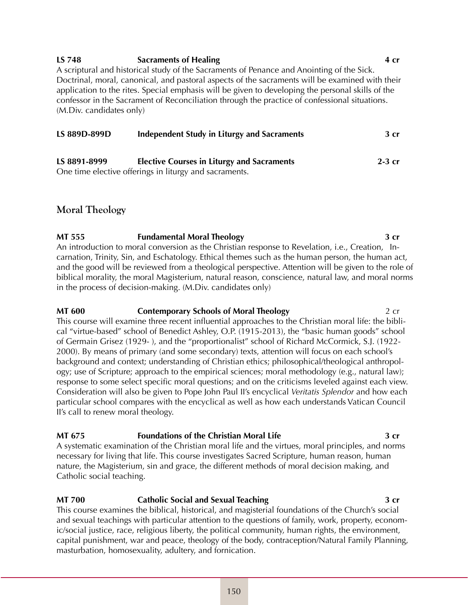# **LS 748 Sacraments of Healing 4 cr**

A scriptural and historical study of the Sacraments of Penance and Anointing of the Sick. Doctrinal, moral, canonical, and pastoral aspects of the sacraments will be examined with their application to the rites. Special emphasis will be given to developing the personal skills of the confessor in the Sacrament of Reconciliation through the practice of confessional situations. (M.Div. candidates only)

| LS 889D-899D | Independent Study in Liturgy and Sacraments                                                                                                                                                                                                                                                   | 3 <sub>cr</sub> |
|--------------|-----------------------------------------------------------------------------------------------------------------------------------------------------------------------------------------------------------------------------------------------------------------------------------------------|-----------------|
| LS 8891-8999 | <b>Elective Courses in Liturgy and Sacraments</b>                                                                                                                                                                                                                                             | $2-3$ cr        |
|              | $\bigcap_{i=1}^n$ and $\bigcap_{i=1}^n$ and $\bigcap_{i=1}^n$ and $\bigcap_{i=1}^n$ and $\bigcap_{i=1}^n$ and $\bigcap_{i=1}^n$ and $\bigcap_{i=1}^n$ and $\bigcap_{i=1}^n$ and $\bigcap_{i=1}^n$ and $\bigcap_{i=1}^n$ and $\bigcap_{i=1}^n$ and $\bigcap_{i=1}^n$ and $\bigcap_{i=1}^n$ and |                 |

One time elective offerings in liturgy and sacraments.

# **Moral Theology**

**MT 555 Fundamental Moral Theology 3 cr** An introduction to moral conversion as the Christian response to Revelation, i.e., Creation, Incarnation, Trinity, Sin, and Eschatology. Ethical themes such as the human person, the human act, and the good will be reviewed from a theological perspective. Attention will be given to the role of biblical morality, the moral Magisterium, natural reason, conscience, natural law, and moral norms in the process of decision-making. (M.Div. candidates only)

**MT 600 Contemporary Schools of Moral Theology 2 CD** 2 CD This course will examine three recent influential approaches to the Christian moral life: the biblical "virtue-based" school of Benedict Ashley, O.P. (1915-2013), the "basic human goods" school of Germain Grisez (1929- ), and the "proportionalist" school of Richard McCormick, S.J. (1922- 2000). By means of primary (and some secondary) texts, attention will focus on each school's background and context; understanding of Christian ethics; philosophical/theological anthropology; use of Scripture; approach to the empirical sciences; moral methodology (e.g., natural law); response to some select specific moral questions; and on the criticisms leveled against each view. Consideration will also be given to Pope John Paul II's encyclical *Veritatis Splendor* and how each particular school compares with the encyclical as well as how each understands Vatican Council II's call to renew moral theology.

### **MT 675 Foundations of the Christian Moral Life 3 cr**

A systematic examination of the Christian moral life and the virtues, moral principles, and norms necessary for living that life. This course investigates Sacred Scripture, human reason, human nature, the Magisterium, sin and grace, the different methods of moral decision making, and Catholic social teaching.

# **MT 700 Catholic Social and Sexual Teaching 12 Criminal Sexual Teaching 3 cr**

This course examines the biblical, historical, and magisterial foundations of the Church's social and sexual teachings with particular attention to the questions of family, work, property, economic/social justice, race, religious liberty, the political community, human rights, the environment, capital punishment, war and peace, theology of the body, contraception/Natural Family Planning, masturbation, homosexuality, adultery, and fornication.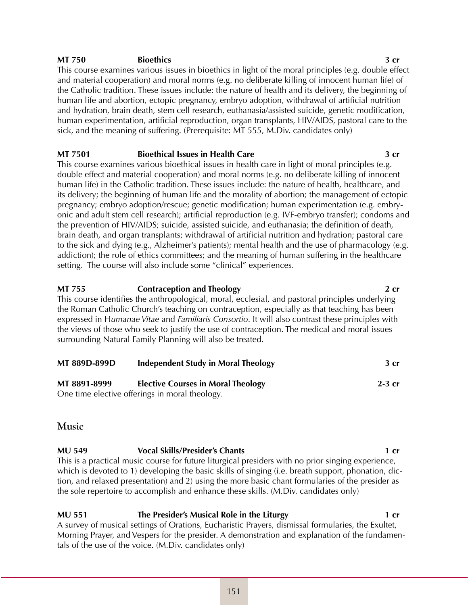### **MT 750 Bioethics 3 cr**

This course examines various issues in bioethics in light of the moral principles (e.g. double effect and material cooperation) and moral norms (e.g. no deliberate killing of innocent human life) of the Catholic tradition. These issues include: the nature of health and its delivery, the beginning of human life and abortion, ectopic pregnancy, embryo adoption, withdrawal of artificial nutrition and hydration, brain death, stem cell research, euthanasia/assisted suicide, genetic modification, human experimentation, artificial reproduction, organ transplants, HIV/AIDS, pastoral care to the sick, and the meaning of suffering. (Prerequisite: MT 555, M.Div. candidates only)

### **MT 7501 Bioethical Issues in Health Care 3 cr**

This course examines various bioethical issues in health care in light of moral principles (e.g. double effect and material cooperation) and moral norms (e.g. no deliberate killing of innocent human life) in the Catholic tradition. These issues include: the nature of health, healthcare, and its delivery; the beginning of human life and the morality of abortion; the management of ectopic pregnancy; embryo adoption/rescue; genetic modification; human experimentation (e.g. embryonic and adult stem cell research); artificial reproduction (e.g. IVF-embryo transfer); condoms and the prevention of HIV/AIDS; suicide, assisted suicide, and euthanasia; the definition of death, brain death, and organ transplants; withdrawal of artificial nutrition and hydration; pastoral care to the sick and dying (e.g., Alzheimer's patients); mental health and the use of pharmacology (e.g. addiction); the role of ethics committees; and the meaning of human suffering in the healthcare setting. The course will also include some "clinical" experiences.

**MT 755 Contraception and Theology 2 cr** This course identifies the anthropological, moral, ecclesial, and pastoral principles underlying the Roman Catholic Church's teaching on contraception, especially as that teaching has been expressed in H*umanae Vitae* and *Familiaris Consortio*. It will also contrast these principles with the views of those who seek to justify the use of contraception. The medical and moral issues surrounding Natural Family Planning will also be treated.

| <b>MT 889D-899D</b> | <b>Independent Study in Moral Theology</b>     | 3 <sub>cr</sub> |
|---------------------|------------------------------------------------|-----------------|
| MT 8891-8999        | <b>Elective Courses in Moral Theology</b>      | $2-3$ cr        |
|                     | One time elective offerings in moral theology. |                 |

# **Music**

**MU 549 Vocal Skills/Presider's Chants 1 cr** This is a practical music course for future liturgical presiders with no prior singing experience, which is devoted to 1) developing the basic skills of singing (i.e. breath support, phonation, diction, and relaxed presentation) and 2) using the more basic chant formularies of the presider as the sole repertoire to accomplish and enhance these skills. (M.Div. candidates only)

**MU 551 The Presider's Musical Role in the Liturgy 1 cr** A survey of musical settings of Orations, Eucharistic Prayers, dismissal formularies, the Exultet, Morning Prayer, and Vespers for the presider. A demonstration and explanation of the fundamentals of the use of the voice. (M.Div. candidates only)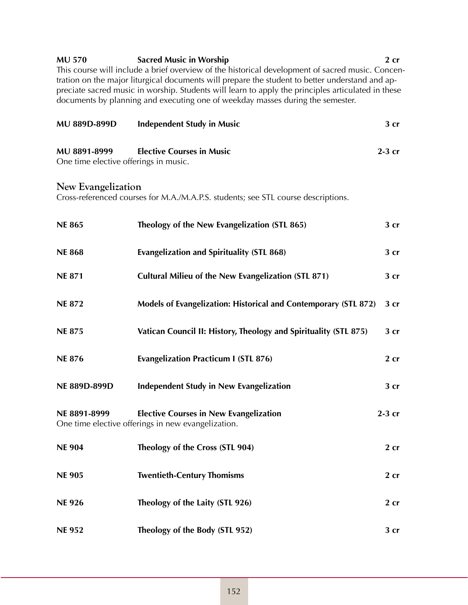| <b>MU 570</b>                         | <b>Sacred Music in Worship</b>                                                                     | $2$ cr          |
|---------------------------------------|----------------------------------------------------------------------------------------------------|-----------------|
|                                       | This course will include a brief overview of the historical development of sacred music. Concen-   |                 |
|                                       | tration on the major liturgical documents will prepare the student to better understand and ap-    |                 |
|                                       | preciate sacred music in worship. Students will learn to apply the principles articulated in these |                 |
|                                       | documents by planning and executing one of weekday masses during the semester.                     |                 |
|                                       |                                                                                                    |                 |
| MU 889D-899D                          | <b>Independent Study in Music</b>                                                                  | 3 <sub>cr</sub> |
|                                       |                                                                                                    |                 |
| MU 8891-8999                          | <b>Elective Courses in Music</b>                                                                   | $2-3$ cr        |
|                                       |                                                                                                    |                 |
| One time elective offerings in music. |                                                                                                    |                 |
|                                       |                                                                                                    |                 |
| New Evangelization                    |                                                                                                    |                 |
|                                       | Cross-referenced courses for M.A./M.A.P.S. students; see STL course descriptions.                  |                 |

| <b>NE 865</b> | Theology of the New Evangelization (STL 865)                                                        | 3 <sub>cr</sub> |
|---------------|-----------------------------------------------------------------------------------------------------|-----------------|
| <b>NE 868</b> | <b>Evangelization and Spirituality (STL 868)</b>                                                    | 3 cr            |
| <b>NE 871</b> | <b>Cultural Milieu of the New Evangelization (STL 871)</b>                                          | 3 <sub>cr</sub> |
| <b>NE 872</b> | Models of Evangelization: Historical and Contemporary (STL 872)                                     | 3 <sub>cr</sub> |
| <b>NE 875</b> | Vatican Council II: History, Theology and Spirituality (STL 875)                                    | 3 <sub>cr</sub> |
| <b>NE 876</b> | <b>Evangelization Practicum I (STL 876)</b>                                                         | $2$ cr          |
| NE 889D-899D  | <b>Independent Study in New Evangelization</b>                                                      | 3 cr            |
| NE 8891-8999  | <b>Elective Courses in New Evangelization</b><br>One time elective offerings in new evangelization. | $2-3$ cr        |
| <b>NE 904</b> | Theology of the Cross (STL 904)                                                                     | $2$ cr          |
| <b>NE 905</b> | <b>Twentieth-Century Thomisms</b>                                                                   | $2$ cr          |
| <b>NE926</b>  | Theology of the Laity (STL 926)                                                                     | $2$ cr          |
| <b>NE 952</b> | Theology of the Body (STL 952)                                                                      | 3 <sub>cr</sub> |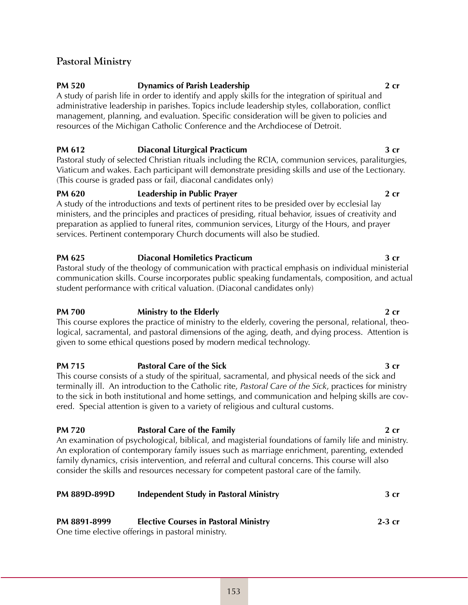# **Pastoral Ministry**

# **PM 520 Dynamics of Parish Leadership 2 cr**

A study of parish life in order to identify and apply skills for the integration of spiritual and administrative leadership in parishes. Topics include leadership styles, collaboration, conflict management, planning, and evaluation. Specific consideration will be given to policies and resources of the Michigan Catholic Conference and the Archdiocese of Detroit.

# **PM 612 Diaconal Liturgical Practicum 3 cr**

Pastoral study of selected Christian rituals including the RCIA, communion services, paraliturgies, Viaticum and wakes. Each participant will demonstrate presiding skills and use of the Lectionary. (This course is graded pass or fail, diaconal candidates only)

# **PM 620 Leadership in Public Prayer 2 cr**

A study of the introductions and texts of pertinent rites to be presided over by ecclesial lay ministers, and the principles and practices of presiding, ritual behavior, issues of creativity and preparation as applied to funeral rites, communion services, Liturgy of the Hours, and prayer services. Pertinent contemporary Church documents will also be studied.

# **PM 625 Diaconal Homiletics Practicum 3 cr**

Pastoral study of the theology of communication with practical emphasis on individual ministerial communication skills. Course incorporates public speaking fundamentals, composition, and actual student performance with critical valuation. (Diaconal candidates only)

# **PM 700 Ministry to the Elderly <b>PM 700 2 cr**

This course explores the practice of ministry to the elderly, covering the personal, relational, theological, sacramental, and pastoral dimensions of the aging, death, and dying process. Attention is given to some ethical questions posed by modern medical technology.

### **PM 715 Pastoral Care of the Sick 3 cr** This course consists of a study of the spiritual, sacramental, and physical needs of the sick and terminally ill. An introduction to the Catholic rite, *Pastoral Care of the Sick*, practices for ministry to the sick in both institutional and home settings, and communication and helping skills are covered. Special attention is given to a variety of religious and cultural customs.

**PM 720 Pastoral Care of the Family 2 cr** An examination of psychological, biblical, and magisterial foundations of family life and ministry. An exploration of contemporary family issues such as marriage enrichment, parenting, extended family dynamics, crisis intervention, and referral and cultural concerns. This course will also consider the skills and resources necessary for competent pastoral care of the family.

| <b>PM 889D-899D</b> | <b>Independent Study in Pastoral Ministry</b>     | 3 <sub>cr</sub> |
|---------------------|---------------------------------------------------|-----------------|
| PM 8891-8999        | <b>Elective Courses in Pastoral Ministry</b>      | $2-3$ cr        |
|                     | One time elective offerings in pastoral ministry. |                 |

153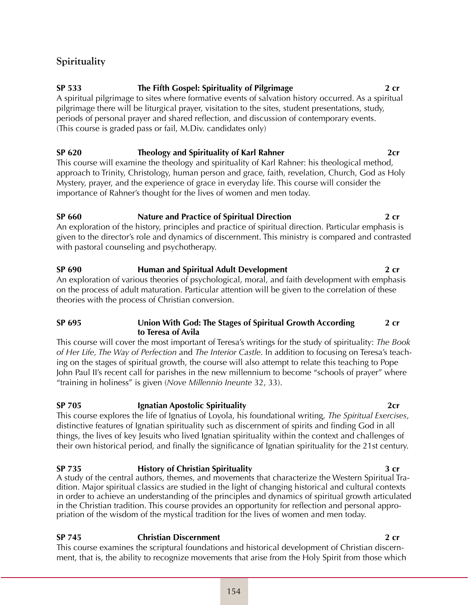# **Spirituality**

# **SP 533 The Fifth Gospel: Spirituality of Pilgrimage 2 cr**

A spiritual pilgrimage to sites where formative events of salvation history occurred. As a spiritual pilgrimage there will be liturgical prayer, visitation to the sites, student presentations, study, periods of personal prayer and shared reflection, and discussion of contemporary events. (This course is graded pass or fail, M.Div. candidates only)

# **SP 620 Theology and Spirituality of Karl Rahner** 2cr

This course will examine the theology and spirituality of Karl Rahner: his theological method, approach to Trinity, Christology, human person and grace, faith, revelation, Church, God as Holy Mystery, prayer, and the experience of grace in everyday life. This course will consider the importance of Rahner's thought for the lives of women and men today.

# **SP 660 Nature and Practice of Spiritual Direction 2 cr**

An exploration of the history, principles and practice of spiritual direction. Particular emphasis is given to the director's role and dynamics of discernment. This ministry is compared and contrasted with pastoral counseling and psychotherapy.

# **SP 690 Human and Spiritual Adult Development 2 cr** An exploration of various theories of psychological, moral, and faith development with emphasis

on the process of adult maturation. Particular attention will be given to the correlation of these theories with the process of Christian conversion.

# **SP 695 Union With God: The Stages of Spiritual Growth According 2 cr to Teresa of Avila**

This course will cover the most important of Teresa's writings for the study of spirituality: *The Book of Her Life, The Way of Perfection* and *The Interior Castle*. In addition to focusing on Teresa's teaching on the stages of spiritual growth, the course will also attempt to relate this teaching to Pope John Paul II's recent call for parishes in the new millennium to become "schools of prayer" where "training in holiness" is given (*Nove Millennio Ineunte* 32, 33).

# **SP 705 Ignatian Apostolic Spirituality 2cr**

This course explores the life of Ignatius of Loyola, his foundational writing, *The Spiritual Exercises*, distinctive features of Ignatian spirituality such as discernment of spirits and finding God in all things, the lives of key Jesuits who lived Ignatian spirituality within the context and challenges of their own historical period, and finally the significance of Ignatian spirituality for the 21st century.

# **SP 735 History of Christian Spirituality 3 cr**

A study of the central authors, themes, and movements that characterize the Western Spiritual Tradition. Major spiritual classics are studied in the light of changing historical and cultural contexts in order to achieve an understanding of the principles and dynamics of spiritual growth articulated in the Christian tradition. This course provides an opportunity for reflection and personal appropriation of the wisdom of the mystical tradition for the lives of women and men today.

# **SP 745 Christian Discernment 2 cr**

This course examines the scriptural foundations and historical development of Christian discernment, that is, the ability to recognize movements that arise from the Holy Spirit from those which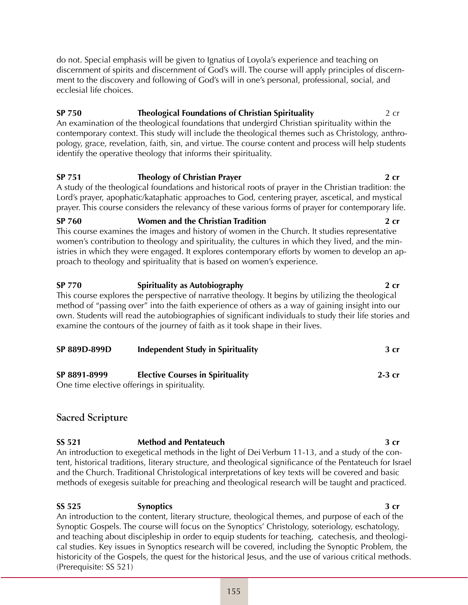do not. Special emphasis will be given to Ignatius of Loyola's experience and teaching on discernment of spirits and discernment of God's will. The course will apply principles of discernment to the discovery and following of God's will in one's personal, professional, social, and ecclesial life choices.

# **SP 750 Theological Foundations of Christian Spirituality** 2 cr

An examination of the theological foundations that undergird Christian spirituality within the contemporary context. This study will include the theological themes such as Christology, anthropology, grace, revelation, faith, sin, and virtue. The course content and process will help students identify the operative theology that informs their spirituality.

# **SP 751 Theology of Christian Prayer 2 cr**

A study of the theological foundations and historical roots of prayer in the Christian tradition: the Lord's prayer, apophatic/kataphatic approaches to God, centering prayer, ascetical, and mystical prayer. This course considers the relevancy of these various forms of prayer for contemporary life.

# **SP 760 Women and the Christian Tradition 2 cr**

This course examines the images and history of women in the Church. It studies representative women's contribution to theology and spirituality, the cultures in which they lived, and the ministries in which they were engaged. It explores contemporary efforts by women to develop an approach to theology and spirituality that is based on women's experience.

# **SP 770 Spirituality as Autobiography 2 cr**

This course explores the perspective of narrative theology. It begins by utilizing the theological method of "passing over" into the faith experience of others as a way of gaining insight into our own. Students will read the autobiographies of significant individuals to study their life stories and examine the contours of the journey of faith as it took shape in their lives.

| SP 889D-899D | <b>Independent Study in Spirituality</b> | 3 <sub>cr</sub> |
|--------------|------------------------------------------|-----------------|
| SP 8891-8999 | <b>Elective Courses in Spirituality</b>  | $2-3$ cr        |

One time elective offerings in spirituality.

# **Sacred Scripture**

### **SS 521 Method and Pentateuch 3 cr** An introduction to exegetical methods in the light of Dei Verbum 11-13, and a study of the content, historical traditions, literary structure, and theological significance of the Pentateuch for Israel and the Church. Traditional Christological interpretations of key texts will be covered and basic methods of exegesis suitable for preaching and theological research will be taught and practiced.

**SS 525 Synoptics 3 cr** An introduction to the content, literary structure, theological themes, and purpose of each of the Synoptic Gospels. The course will focus on the Synoptics' Christology, soteriology, eschatology, and teaching about discipleship in order to equip students for teaching, catechesis, and theological studies. Key issues in Synoptics research will be covered, including the Synoptic Problem, the historicity of the Gospels, the quest for the historical Jesus, and the use of various critical methods. (Prerequisite: SS 521)

### 155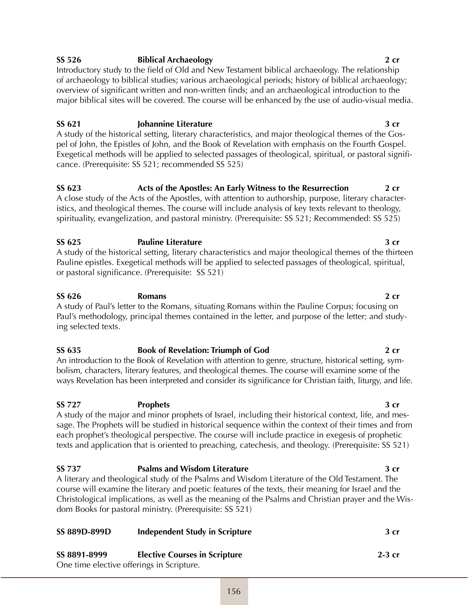# **SS 526 Biblical Archaeology 2 cr**

Introductory study to the field of Old and New Testament biblical archaeology. The relationship of archaeology to biblical studies; various archaeological periods; history of biblical archaeology; overview of significant written and non-written finds; and an archaeological introduction to the major biblical sites will be covered. The course will be enhanced by the use of audio-visual media.

# **SS 621 Johannine Literature 3 cr**

A study of the historical setting, literary characteristics, and major theological themes of the Gospel of John, the Epistles of John, and the Book of Revelation with emphasis on the Fourth Gospel. Exegetical methods will be applied to selected passages of theological, spiritual, or pastoral significance. (Prerequisite: SS 521; recommended SS 525)

# **SS 623 Acts of the Apostles: An Early Witness to the Resurrection 2 cr**

A close study of the Acts of the Apostles, with attention to authorship, purpose, literary characteristics, and theological themes. The course will include analysis of key texts relevant to theology, spirituality, evangelization, and pastoral ministry. (Prerequisite: SS 521; Recommended: SS 525)

# **SS 625 Pauline Literature 3 cr**

A study of the historical setting, literary characteristics and major theological themes of the thirteen Pauline epistles. Exegetical methods will be applied to selected passages of theological, spiritual, or pastoral significance. (Prerequisite: SS 521)

# **SS 626 Romans 2 cr**

A study of Paul's letter to the Romans, situating Romans within the Pauline Corpus; focusing on Paul's methodology, principal themes contained in the letter, and purpose of the letter; and studying selected texts.

### **SS 635 Book of Revelation: Triumph of God 2 cr** An introduction to the Book of Revelation with attention to genre, structure, historical setting, sym-

bolism, characters, literary features, and theological themes. The course will examine some of the ways Revelation has been interpreted and consider its significance for Christian faith, liturgy, and life.

# **SS 727 Prophets 3 cr**

A study of the major and minor prophets of Israel, including their historical context, life, and message. The Prophets will be studied in historical sequence within the context of their times and from each prophet's theological perspective. The course will include practice in exegesis of prophetic texts and application that is oriented to preaching, catechesis, and theology. (Prerequisite: SS 521)

### **SS 737 Psalms and Wisdom Literature 3 cr** A literary and theological study of the Psalms and Wisdom Literature of the Old Testament. The course will examine the literary and poetic features of the texts, their meaning for Israel and the Christological implications, as well as the meaning of the Psalms and Christian prayer and the Wisdom Books for pastoral ministry. (Prerequisite: SS 521)

| <b>SS 889D-899D</b> | <b>Independent Study in Scripture</b>     | 3 <sub>cr</sub> |
|---------------------|-------------------------------------------|-----------------|
| SS 8891-8999        | <b>Elective Courses in Scripture</b>      | $2-3$ cr        |
|                     | One time elective offerings in Scripture. |                 |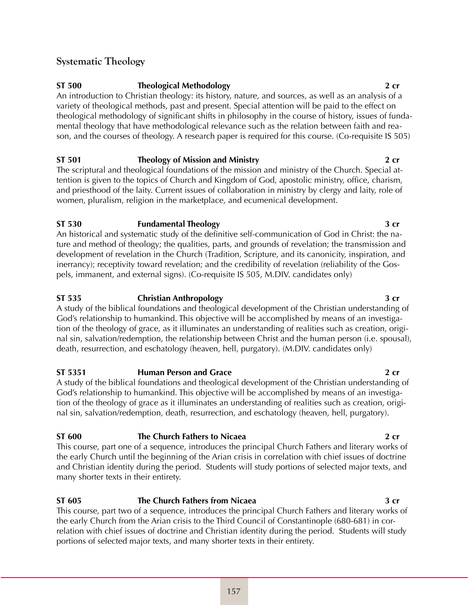# **Systematic Theology**

# **ST 500 Theological Methodology 2 cr**

An introduction to Christian theology: its history, nature, and sources, as well as an analysis of a variety of theological methods, past and present. Special attention will be paid to the effect on theological methodology of significant shifts in philosophy in the course of history, issues of fundamental theology that have methodological relevance such as the relation between faith and reason, and the courses of theology. A research paper is required for this course. (Co-requisite IS 505)

# **ST 501 Theology of Mission and Ministry 2 cr**

The scriptural and theological foundations of the mission and ministry of the Church. Special attention is given to the topics of Church and Kingdom of God, apostolic ministry, office, charism, and priesthood of the laity. Current issues of collaboration in ministry by clergy and laity, role of women, pluralism, religion in the marketplace, and ecumenical development.

# **ST 530 Fundamental Theology 3 cr**

An historical and systematic study of the definitive self-communication of God in Christ: the nature and method of theology; the qualities, parts, and grounds of revelation; the transmission and development of revelation in the Church (Tradition, Scripture, and its canonicity, inspiration, and inerrancy); receptivity toward revelation; and the credibility of revelation (reliability of the Gospels, immanent, and external signs). (Co-requisite IS 505, M.DIV. candidates only)

# **ST 535 Christian Anthropology 3 cr**

A study of the biblical foundations and theological development of the Christian understanding of God's relationship to humankind. This objective will be accomplished by means of an investigation of the theology of grace, as it illuminates an understanding of realities such as creation, original sin, salvation/redemption, the relationship between Christ and the human person (i.e. spousal), death, resurrection, and eschatology (heaven, hell, purgatory). (M.DIV. candidates only)

# **ST 5351 Human Person and Grace 2 cr**

A study of the biblical foundations and theological development of the Christian understanding of God's relationship to humankind. This objective will be accomplished by means of an investigation of the theology of grace as it illuminates an understanding of realities such as creation, original sin, salvation/redemption, death, resurrection, and eschatology (heaven, hell, purgatory).

# **ST 600 The Church Fathers to Nicaea 2 cr**

This course, part one of a sequence, introduces the principal Church Fathers and literary works of the early Church until the beginning of the Arian crisis in correlation with chief issues of doctrine and Christian identity during the period. Students will study portions of selected major texts, and many shorter texts in their entirety.

# **ST 605 The Church Fathers from Nicaea 3 cr**

This course, part two of a sequence, introduces the principal Church Fathers and literary works of the early Church from the Arian crisis to the Third Council of Constantinople (680-681) in correlation with chief issues of doctrine and Christian identity during the period. Students will study portions of selected major texts, and many shorter texts in their entirety.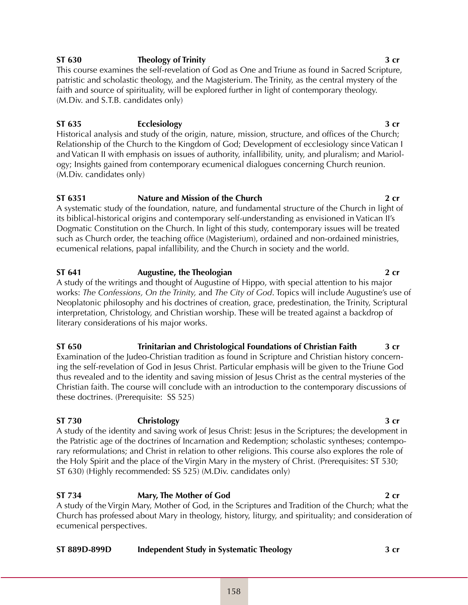# **ST 630 Theology of Trinity 3 cr**

This course examines the self-revelation of God as One and Triune as found in Sacred Scripture, patristic and scholastic theology, and the Magisterium. The Trinity, as the central mystery of the faith and source of spirituality, will be explored further in light of contemporary theology. (M.Div. and S.T.B. candidates only)

# **ST 635 Ecclesiology 3 cr**

Historical analysis and study of the origin, nature, mission, structure, and offices of the Church; Relationship of the Church to the Kingdom of God; Development of ecclesiology since Vatican I and Vatican II with emphasis on issues of authority, infallibility, unity, and pluralism; and Mariology; Insights gained from contemporary ecumenical dialogues concerning Church reunion. (M.Div. candidates only)

# **ST 6351 Nature and Mission of the Church 2 cr**

A systematic study of the foundation, nature, and fundamental structure of the Church in light of its biblical-historical origins and contemporary self-understanding as envisioned in Vatican II's Dogmatic Constitution on the Church. In light of this study, contemporary issues will be treated such as Church order, the teaching office (Magisterium), ordained and non-ordained ministries, ecumenical relations, papal infallibility, and the Church in society and the world.

# **ST 641 Augustine, the Theologian 2 cr**

A study of the writings and thought of Augustine of Hippo, with special attention to his major works: *The Confessions, On the Trinity,* and *The City of God*. Topics will include Augustine's use of Neoplatonic philosophy and his doctrines of creation, grace, predestination, the Trinity, Scriptural interpretation, Christology, and Christian worship. These will be treated against a backdrop of literary considerations of his major works.

### **ST 650 Trinitarian and Christological Foundations of Christian Faith 3 cr** Examination of the Judeo-Christian tradition as found in Scripture and Christian history concern-

ing the self-revelation of God in Jesus Christ. Particular emphasis will be given to the Triune God thus revealed and to the identity and saving mission of Jesus Christ as the central mysteries of the Christian faith. The course will conclude with an introduction to the contemporary discussions of these doctrines. (Prerequisite: SS 525)

# **ST 730 Christology 3 cr**

A study of the identity and saving work of Jesus Christ: Jesus in the Scriptures; the development in the Patristic age of the doctrines of Incarnation and Redemption; scholastic syntheses; contemporary reformulations; and Christ in relation to other religions. This course also explores the role of the Holy Spirit and the place of the Virgin Mary in the mystery of Christ. (Prerequisites: ST 530; ST 630) (Highly recommended: SS 525) (M.Div. candidates only)

# **ST 734 Mary, The Mother of God 2 cr**

A study of the Virgin Mary, Mother of God, in the Scriptures and Tradition of the Church; what the Church has professed about Mary in theology, history, liturgy, and spirituality; and consideration of ecumenical perspectives.

| ST 889D-899D | <b>Independent Study in Systematic Theology</b> | 3 cr |
|--------------|-------------------------------------------------|------|
|--------------|-------------------------------------------------|------|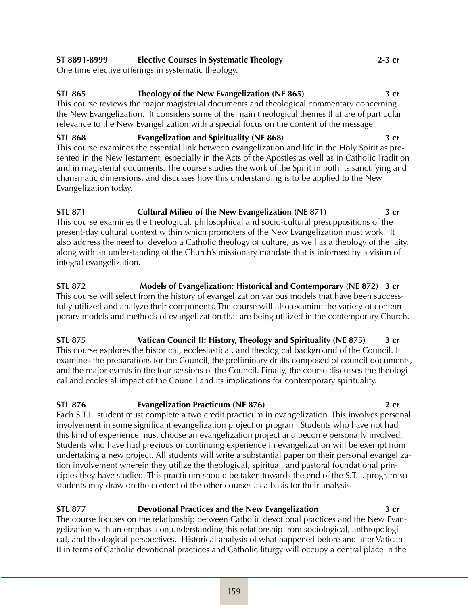# **ST 8891-8999 Elective Courses in Systematic Theology 2-3 cr**

One time elective offerings in systematic theology.

# **STL 865 Theology of the New Evangelization (NE 865) 3 cr**

This course reviews the major magisterial documents and theological commentary concerning the New Evangelization. It considers some of the main theological themes that are of particular relevance to the New Evangelization with a special focus on the content of the message.

**STL 868 Evangelization and Spirituality (NE 868) 3 cr** This course examines the essential link between evangelization and life in the Holy Spirit as presented in the New Testament, especially in the Acts of the Apostles as well as in Catholic Tradition and in magisterial documents. The course studies the work of the Spirit in both its sanctifying and charismatic dimensions, and discusses how this understanding is to be applied to the New Evangelization today.

### **STL 871 Cultural Milieu of the New Evangelization (NE 871) 3 cr** This course examines the theological, philosophical and socio-cultural presuppositions of the present-day cultural context within which promoters of the New Evangelization must work. It also address the need to develop a Catholic theology of culture, as well as a theology of the laity, along with an understanding of the Church's missionary mandate that is informed by a vision of integral evangelization.

**STL 872 Models of Evangelization: Historical and Contemporary (NE 872) 3 cr** This course will select from the history of evangelization various models that have been successfully utilized and analyze their components. The course will also examine the variety of contemporary models and methods of evangelization that are being utilized in the contemporary Church.

### **STL 875 Vatican Council II: History, Theology and Spirituality (NE 875) 3 cr** This course explores the historical, ecclesiastical, and theological background of the Council. It examines the preparations for the Council, the preliminary drafts composed of council documents, and the major events in the four sessions of the Council. Finally, the course discusses the theological and ecclesial impact of the Council and its implications for contemporary spirituality.

# **STL 876 Evangelization Practicum (NE 876) 2 cr**

Each S.T.L. student must complete a two credit practicum in evangelization. This involves personal involvement in some significant evangelization project or program. Students who have not had this kind of experience must choose an evangelization project and become personally involved. Students who have had previous or continuing experience in evangelization will be exempt from undertaking a new project. All students will write a substantial paper on their personal evangelization involvement wherein they utilize the theological, spiritual, and pastoral foundational principles they have studied. This practicum should be taken towards the end of the S.T.L. program so students may draw on the content of the other courses as a basis for their analysis.

# **STL 877 Devotional Practices and the New Evangelization 3 cr**

The course focuses on the relationship between Catholic devotional practices and the New Evangelization with an emphasis on understanding this relationship from sociological, anthropological, and theological perspectives. Historical analysis of what happened before and after Vatican II in terms of Catholic devotional practices and Catholic liturgy will occupy a central place in the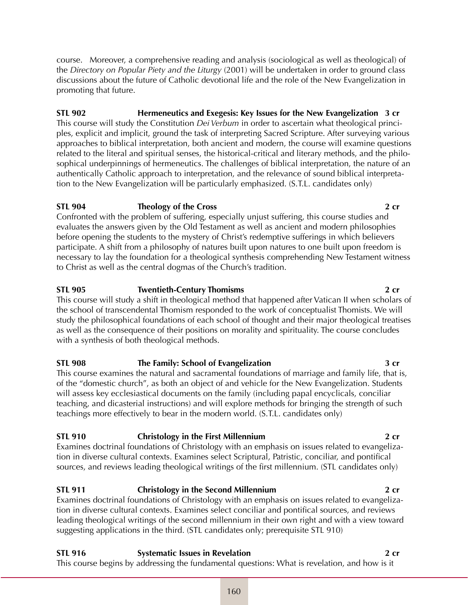course. Moreover, a comprehensive reading and analysis (sociological as well as theological) of the *Directory on Popular Piety and the Liturgy* (2001) will be undertaken in order to ground class discussions about the future of Catholic devotional life and the role of the New Evangelization in promoting that future.

# **STL 902 Hermeneutics and Exegesis: Key Issues for the New Evangelization 3 cr**

This course will study the Constitution *Dei Verbum* in order to ascertain what theological principles, explicit and implicit, ground the task of interpreting Sacred Scripture. After surveying various approaches to biblical interpretation, both ancient and modern, the course will examine questions related to the literal and spiritual senses, the historical-critical and literary methods, and the philosophical underpinnings of hermeneutics. The challenges of biblical interpretation, the nature of an authentically Catholic approach to interpretation, and the relevance of sound biblical interpretation to the New Evangelization will be particularly emphasized. (S.T.L. candidates only)

# **STL 904 Theology of the Cross 2 cr**

Confronted with the problem of suffering, especially unjust suffering, this course studies and evaluates the answers given by the Old Testament as well as ancient and modern philosophies before opening the students to the mystery of Christ's redemptive sufferings in which believers participate. A shift from a philosophy of natures built upon natures to one built upon freedom is necessary to lay the foundation for a theological synthesis comprehending New Testament witness to Christ as well as the central dogmas of the Church's tradition.

# **STL 905 Twentieth-Century Thomisms 2 cr**

This course will study a shift in theological method that happened after Vatican II when scholars of the school of transcendental Thomism responded to the work of conceptualist Thomists. We will study the philosophical foundations of each school of thought and their major theological treatises as well as the consequence of their positions on morality and spirituality. The course concludes with a synthesis of both theological methods.

# **STL 908 The Family: School of Evangelization 3 cr**

This course examines the natural and sacramental foundations of marriage and family life, that is, of the "domestic church", as both an object of and vehicle for the New Evangelization. Students will assess key ecclesiastical documents on the family (including papal encyclicals, conciliar teaching, and dicasterial instructions) and will explore methods for bringing the strength of such teachings more effectively to bear in the modern world. (S.T.L. candidates only)

# **STL 910 Christology in the First Millennium 2 cr**

Examines doctrinal foundations of Christology with an emphasis on issues related to evangelization in diverse cultural contexts. Examines select Scriptural, Patristic, conciliar, and pontifical sources, and reviews leading theological writings of the first millennium. (STL candidates only)

# **STL 911 Christology in the Second Millennium 2 cr**

Examines doctrinal foundations of Christology with an emphasis on issues related to evangelization in diverse cultural contexts. Examines select conciliar and pontifical sources, and reviews leading theological writings of the second millennium in their own right and with a view toward suggesting applications in the third. (STL candidates only; prerequisite STL 910)

| <b>STL 916</b> | <b>Systematic Issues in Revelation</b>                                                        | $2 \; \mathsf{cr}$ |
|----------------|-----------------------------------------------------------------------------------------------|--------------------|
|                | This course begins by addressing the fundamental questions: What is revelation, and how is it |                    |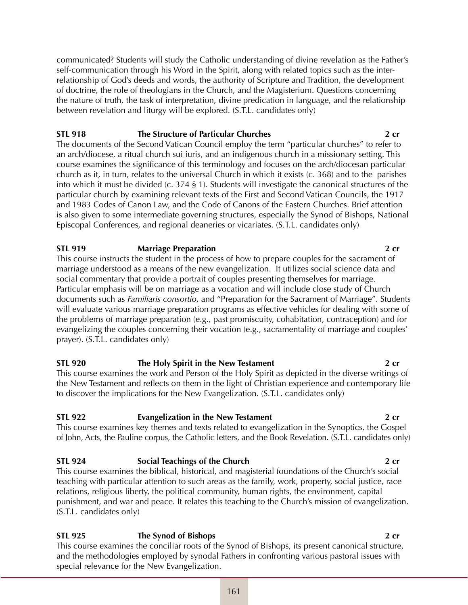communicated? Students will study the Catholic understanding of divine revelation as the Father's self-communication through his Word in the Spirit, along with related topics such as the interrelationship of God's deeds and words, the authority of Scripture and Tradition, the development of doctrine, the role of theologians in the Church, and the Magisterium. Questions concerning the nature of truth, the task of interpretation, divine predication in language, and the relationship between revelation and liturgy will be explored. (S.T.L. candidates only)

### **STL 918 The Structure of Particular Churches 2 cr**

The documents of the Second Vatican Council employ the term "particular churches" to refer to an arch/diocese, a ritual church sui iuris, and an indigenous church in a missionary setting. This course examines the significance of this terminology and focuses on the arch/diocesan particular church as it, in turn, relates to the universal Church in which it exists (c. 368) and to the parishes into which it must be divided (c. 374 § 1). Students will investigate the canonical structures of the particular church by examining relevant texts of the First and Second Vatican Councils, the 1917 and 1983 Codes of Canon Law, and the Code of Canons of the Eastern Churches. Brief attention is also given to some intermediate governing structures, especially the Synod of Bishops, National Episcopal Conferences, and regional deaneries or vicariates. (S.T.L. candidates only)

### **STL 919 Marriage Preparation 2 cr**

This course instructs the student in the process of how to prepare couples for the sacrament of marriage understood as a means of the new evangelization. It utilizes social science data and social commentary that provide a portrait of couples presenting themselves for marriage. Particular emphasis will be on marriage as a vocation and will include close study of Church documents such as *Familiaris consortio*, and "Preparation for the Sacrament of Marriage". Students will evaluate various marriage preparation programs as effective vehicles for dealing with some of the problems of marriage preparation (e.g., past promiscuity, cohabitation, contraception) and for evangelizing the couples concerning their vocation (e.g., sacramentality of marriage and couples' prayer). (S.T.L. candidates only)

### **STL 920 The Holy Spirit in the New Testament 2 cr**

This course examines the work and Person of the Holy Spirit as depicted in the diverse writings of the New Testament and reflects on them in the light of Christian experience and contemporary life to discover the implications for the New Evangelization. (S.T.L. candidates only)

### **STL 922 Evangelization in the New Testament 2 cr**

This course examines key themes and texts related to evangelization in the Synoptics, the Gospel of John, Acts, the Pauline corpus, the Catholic letters, and the Book Revelation. (S.T.L. candidates only)

# **STL 924 Social Teachings of the Church 2 cr**

This course examines the biblical, historical, and magisterial foundations of the Church's social teaching with particular attention to such areas as the family, work, property, social justice, race relations, religious liberty, the political community, human rights, the environment, capital punishment, and war and peace. It relates this teaching to the Church's mission of evangelization. (S.T.L. candidates only)

**STL 925 The Synod of Bishops 2 cr** This course examines the conciliar roots of the Synod of Bishops, its present canonical structure, and the methodologies employed by synodal Fathers in confronting various pastoral issues with special relevance for the New Evangelization.

### 161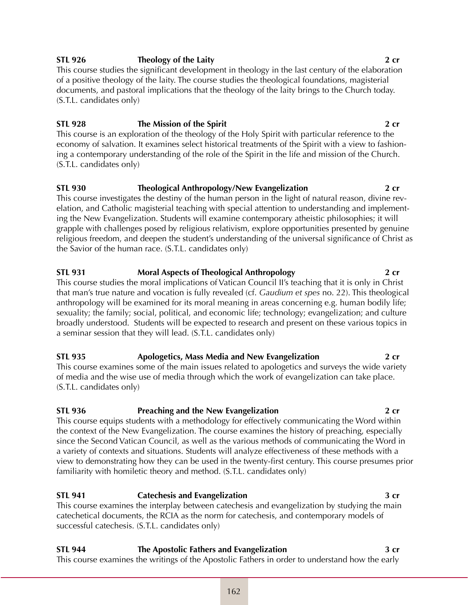### **STL 926 Theology of the Laity 2 cr**

This course studies the significant development in theology in the last century of the elaboration of a positive theology of the laity. The course studies the theological foundations, magisterial documents, and pastoral implications that the theology of the laity brings to the Church today. (S.T.L. candidates only)

# **STL 928 The Mission of the Spirit 2 cr**

This course is an exploration of the theology of the Holy Spirit with particular reference to the economy of salvation. It examines select historical treatments of the Spirit with a view to fashioning a contemporary understanding of the role of the Spirit in the life and mission of the Church. (S.T.L. candidates only)

# **STL 930 Theological Anthropology/New Evangelization 2 cr**

This course investigates the destiny of the human person in the light of natural reason, divine revelation, and Catholic magisterial teaching with special attention to understanding and implementing the New Evangelization. Students will examine contemporary atheistic philosophies; it will grapple with challenges posed by religious relativism, explore opportunities presented by genuine religious freedom, and deepen the student's understanding of the universal significance of Christ as the Savior of the human race. (S.T.L. candidates only)

# **STL 931 Moral Aspects of Theological Anthropology 2 cr**

This course studies the moral implications of Vatican Council II's teaching that it is only in Christ that man's true nature and vocation is fully revealed (cf. *Gaudium et spes* no. 22). This theological anthropology will be examined for its moral meaning in areas concerning e.g. human bodily life; sexuality; the family; social, political, and economic life; technology; evangelization; and culture broadly understood. Students will be expected to research and present on these various topics in a seminar session that they will lead. (S.T.L. candidates only)

# **STL 935 Apologetics, Mass Media and New Evangelization 2 cr**

This course examines some of the main issues related to apologetics and surveys the wide variety of media and the wise use of media through which the work of evangelization can take place. (S.T.L. candidates only)

# **STL 936 Preaching and the New Evangelization 2 cr**

This course equips students with a methodology for effectively communicating the Word within the context of the New Evangelization. The course examines the history of preaching, especially since the Second Vatican Council, as well as the various methods of communicating the Word in a variety of contexts and situations. Students will analyze effectiveness of these methods with a view to demonstrating how they can be used in the twenty-first century. This course presumes prior familiarity with homiletic theory and method. (S.T.L. candidates only)

# **STL 941 Catechesis and Evangelization 3 cr**

This course examines the interplay between catechesis and evangelization by studying the main catechetical documents, the RCIA as the norm for catechesis, and contemporary models of successful catechesis. (S.T.L. candidates only)

**STL 944 The Apostolic Fathers and Evangelization 3 cr** This course examines the writings of the Apostolic Fathers in order to understand how the early

162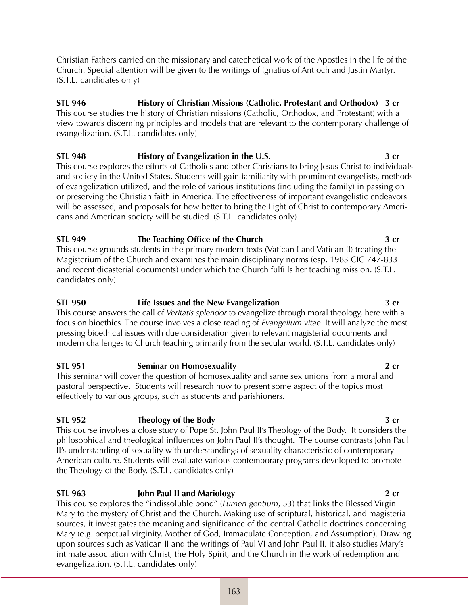Christian Fathers carried on the missionary and catechetical work of the Apostles in the life of the Church. Special attention will be given to the writings of Ignatius of Antioch and Justin Martyr. (S.T.L. candidates only)

**STL 946 History of Christian Missions (Catholic, Protestant and Orthodox) 3 cr** This course studies the history of Christian missions (Catholic, Orthodox, and Protestant) with a view towards discerning principles and models that are relevant to the contemporary challenge of evangelization. (S.T.L. candidates only)

# **STL 948 History of Evangelization in the U.S. 3 cr**

This course explores the efforts of Catholics and other Christians to bring Jesus Christ to individuals and society in the United States. Students will gain familiarity with prominent evangelists, methods of evangelization utilized, and the role of various institutions (including the family) in passing on or preserving the Christian faith in America. The effectiveness of important evangelistic endeavors will be assessed, and proposals for how better to bring the Light of Christ to contemporary Americans and American society will be studied. (S.T.L. candidates only)

**STL 949 The Teaching Office of the Church 3 cr** This course grounds students in the primary modern texts (Vatican I and Vatican II) treating the Magisterium of the Church and examines the main disciplinary norms (esp. 1983 CIC 747-833 and recent dicasterial documents) under which the Church fulfills her teaching mission. (S.T.L. candidates only)

### **STL 950 Life Issues and the New Evangelization 3 cr**

This course answers the call of *Veritatis splendor* to evangelize through moral theology, here with a focus on bioethics. The course involves a close reading of *Evangelium vitae*. It will analyze the most pressing bioethical issues with due consideration given to relevant magisterial documents and modern challenges to Church teaching primarily from the secular world. (S.T.L. candidates only)

# **STL 951 Seminar on Homosexuality 2 cr**

This seminar will cover the question of homosexuality and same sex unions from a moral and pastoral perspective. Students will research how to present some aspect of the topics most effectively to various groups, such as students and parishioners.

### **STL 952 Theology of the Body 3 cr**

This course involves a close study of Pope St. John Paul II's Theology of the Body. It considers the philosophical and theological influences on John Paul II's thought. The course contrasts John Paul II's understanding of sexuality with understandings of sexuality characteristic of contemporary American culture. Students will evaluate various contemporary programs developed to promote the Theology of the Body. (S.T.L. candidates only)

# **STL 963 John Paul II and Mariology 2 cr**

This course explores the "indissoluble bond" (*Lumen gentium*, 53) that links the Blessed Virgin Mary to the mystery of Christ and the Church. Making use of scriptural, historical, and magisterial sources, it investigates the meaning and significance of the central Catholic doctrines concerning Mary (e.g. perpetual virginity, Mother of God, Immaculate Conception, and Assumption). Drawing upon sources such as Vatican II and the writings of Paul VI and John Paul II, it also studies Mary's intimate association with Christ, the Holy Spirit, and the Church in the work of redemption and evangelization. (S.T.L. candidates only)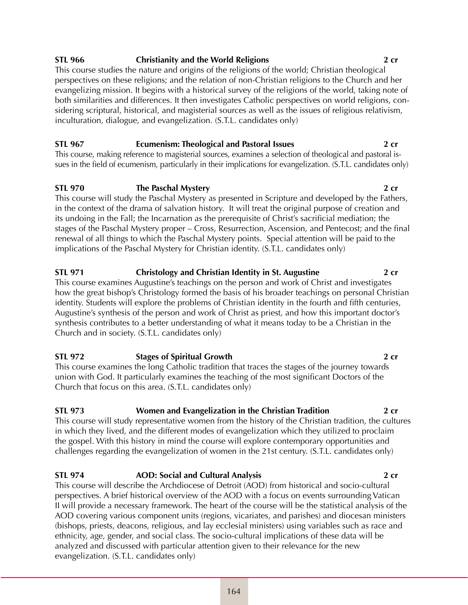# **STL 966 Christianity and the World Religions 2 cr**

This course studies the nature and origins of the religions of the world; Christian theological perspectives on these religions; and the relation of non-Christian religions to the Church and her evangelizing mission. It begins with a historical survey of the religions of the world, taking note of both similarities and differences. It then investigates Catholic perspectives on world religions, considering scriptural, historical, and magisterial sources as well as the issues of religious relativism, inculturation, dialogue, and evangelization. (S.T.L. candidates only)

# **STL 967 Ecumenism: Theological and Pastoral Issues 2 cr**

This course, making reference to magisterial sources, examines a selection of theological and pastoral issues in the field of ecumenism, particularly in their implications for evangelization. (S.T.L. candidates only)

# **STL 970 The Paschal Mystery 2 cr**

This course will study the Paschal Mystery as presented in Scripture and developed by the Fathers, in the context of the drama of salvation history. It will treat the original purpose of creation and its undoing in the Fall; the Incarnation as the prerequisite of Christ's sacrificial mediation; the stages of the Paschal Mystery proper – Cross, Resurrection, Ascension, and Pentecost; and the final renewal of all things to which the Paschal Mystery points. Special attention will be paid to the implications of the Paschal Mystery for Christian identity. (S.T.L. candidates only)

### **STL 971 Christology and Christian Identity in St. Augustine 2 cr** This course examines Augustine's teachings on the person and work of Christ and investigates how the great bishop's Christology formed the basis of his broader teachings on personal Christian identity. Students will explore the problems of Christian identity in the fourth and fifth centuries, Augustine's synthesis of the person and work of Christ as priest, and how this important doctor's synthesis contributes to a better understanding of what it means today to be a Christian in the Church and in society. (S.T.L. candidates only)

# **STL 972 Stages of Spiritual Growth 2 cr**

This course examines the long Catholic tradition that traces the stages of the journey towards union with God. It particularly examines the teaching of the most significant Doctors of the Church that focus on this area. (S.T.L. candidates only)

# **STL 973 Women and Evangelization in the Christian Tradition 2 cr**

This course will study representative women from the history of the Christian tradition, the cultures in which they lived, and the different modes of evangelization which they utilized to proclaim the gospel. With this history in mind the course will explore contemporary opportunities and challenges regarding the evangelization of women in the 21st century. (S.T.L. candidates only)

# **STL 974 AOD: Social and Cultural Analysis 2 cr**

This course will describe the Archdiocese of Detroit (AOD) from historical and socio-cultural perspectives. A brief historical overview of the AOD with a focus on events surrounding Vatican II will provide a necessary framework. The heart of the course will be the statistical analysis of the AOD covering various component units (regions, vicariates, and parishes) and diocesan ministers (bishops, priests, deacons, religious, and lay ecclesial ministers) using variables such as race and ethnicity, age, gender, and social class. The socio-cultural implications of these data will be analyzed and discussed with particular attention given to their relevance for the new evangelization. (S.T.L. candidates only)